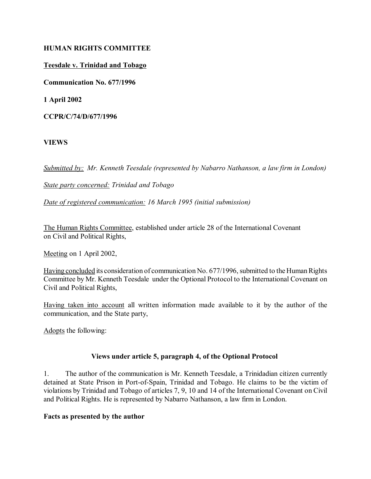# **HUMAN RIGHTS COMMITTEE**

## **Teesdale v. Trinidad and Tobago**

**Communication No. 677/1996**

**1 April 2002**

**CCPR/C/74/D/677/1996**

### **VIEWS**

*Submitted by: Mr. Kenneth Teesdale (represented by Nabarro Nathanson, a law firm in London)*

### *State party concerned: Trinidad and Tobago*

*Date of registered communication: 16 March 1995 (initial submission)*

The Human Rights Committee, established under article 28 of the International Covenant on Civil and Political Rights,

Meeting on 1 April 2002,

Having concluded its consideration of communication No. 677/1996, submitted to the Human Rights Committee by Mr. Kenneth Teesdale under the Optional Protocol to the International Covenant on Civil and Political Rights,

Having taken into account all written information made available to it by the author of the communication, and the State party,

Adopts the following:

# **Views under article 5, paragraph 4, of the Optional Protocol**

1. The author of the communication is Mr. Kenneth Teesdale, a Trinidadian citizen currently detained at State Prison in Port-of-Spain, Trinidad and Tobago. He claims to be the victim of violations by Trinidad and Tobago of articles 7, 9, 10 and 14 of the International Covenant on Civil and Political Rights. He is represented by Nabarro Nathanson, a law firm in London.

#### **Facts as presented by the author**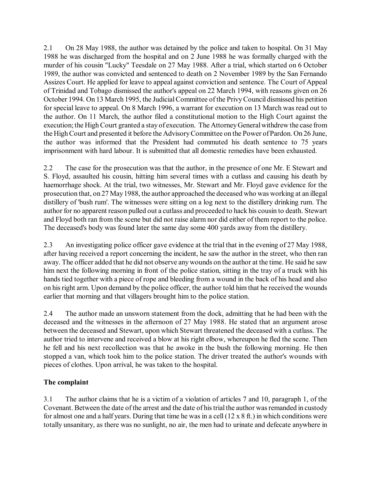2.1 On 28 May 1988, the author was detained by the police and taken to hospital. On 31 May 1988 he was discharged from the hospital and on 2 June 1988 he was formally charged with the murder of his cousin "Lucky" Teesdale on 27 May 1988. After a trial, which started on 6 October 1989, the author was convicted and sentenced to death on 2 November 1989 by the San Fernando Assizes Court. He applied for leave to appeal against conviction and sentence. The Court of Appeal of Trinidad and Tobago dismissed the author's appeal on 22 March 1994, with reasons given on 26 October 1994. On 13 March 1995, the Judicial Committee of the Privy Council dismissed his petition for special leave to appeal. On 8 March 1996, a warrant for execution on 13 March was read out to the author. On 11 March, the author filed a constitutional motion to the High Court against the execution; the High Court granted a stay of execution. The Attorney General withdrew the case from the High Court and presented it before the Advisory Committee on the Power of Pardon. On 26 June, the author was informed that the President had commuted his death sentence to 75 years imprisonment with hard labour. It is submitted that all domestic remedies have been exhausted.

2.2 The case for the prosecution was that the author, in the presence of one Mr. E Stewart and S. Floyd, assaulted his cousin, hitting him several times with a cutlass and causing his death by haemorrhage shock. At the trial, two witnesses, Mr. Stewart and Mr. Floyd gave evidence for the prosecution that, on 27 May 1988, the author approached the deceased who was working at an illegal distillery of 'bush rum'. The witnesses were sitting on a log next to the distillery drinking rum. The author for no apparent reason pulled out a cutlass and proceeded to hack his cousin to death. Stewart and Floyd both ran from the scene but did not raise alarm nor did either of them report to the police. The deceased's body was found later the same day some 400 yards away from the distillery.

2.3 An investigating police officer gave evidence at the trial that in the evening of 27 May 1988, after having received a report concerning the incident, he saw the author in the street, who then ran away. The officer added that he did not observe any wounds on the author at the time. He said he saw him next the following morning in front of the police station, sitting in the tray of a truck with his hands tied together with a piece of rope and bleeding from a wound in the back of his head and also on his right arm. Upon demand by the police officer, the author told him that he received the wounds earlier that morning and that villagers brought him to the police station.

2.4 The author made an unsworn statement from the dock, admitting that he had been with the deceased and the witnesses in the afternoon of 27 May 1988. He stated that an argument arose between the deceased and Stewart, upon which Stewart threatened the deceased with a cutlass. The author tried to intervene and received a blow at his right elbow, whereupon he fled the scene. Then he fell and his next recollection was that he awoke in the bush the following morning. He then stopped a van, which took him to the police station. The driver treated the author's wounds with pieces of clothes. Upon arrival, he was taken to the hospital.

# **The complaint**

3.1 The author claims that he is a victim of a violation of articles 7 and 10, paragraph 1, of the Covenant. Between the date of the arrest and the date of his trial the author was remanded in custody for almost one and a half years. During that time he was in a cell (12 x 8 ft.) in which conditions were totally unsanitary, as there was no sunlight, no air, the men had to urinate and defecate anywhere in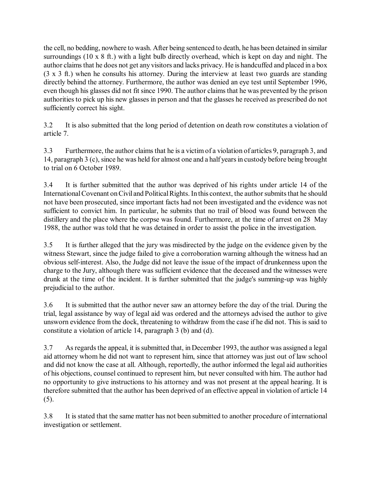the cell, no bedding, nowhere to wash. After being sentenced to death, he has been detained in similar surroundings (10 x 8 ft.) with a light bulb directly overhead, which is kept on day and night. The author claims that he does not get any visitors and lacks privacy. He is handcuffed and placed in a box (3 x 3 ft.) when he consults his attorney. During the interview at least two guards are standing directly behind the attorney. Furthermore, the author was denied an eye test until September 1996, even though his glasses did not fit since 1990. The author claims that he was prevented by the prison authorities to pick up his new glasses in person and that the glasses he received as prescribed do not sufficiently correct his sight.

3.2 It is also submitted that the long period of detention on death row constitutes a violation of article 7.

3.3 Furthermore, the author claims that he is a victim of a violation of articles 9, paragraph 3, and 14, paragraph 3 (c), since he was held for almost one and a half years in custody before being brought to trial on 6 October 1989.

3.4 It is further submitted that the author was deprived of his rights under article 14 of the International Covenant on Civil and Political Rights. In this context, the author submits that he should not have been prosecuted, since important facts had not been investigated and the evidence was not sufficient to convict him. In particular, he submits that no trail of blood was found between the distillery and the place where the corpse was found. Furthermore, at the time of arrest on 28 May 1988, the author was told that he was detained in order to assist the police in the investigation.

3.5 It is further alleged that the jury was misdirected by the judge on the evidence given by the witness Stewart, since the judge failed to give a corroboration warning although the witness had an obvious self-interest. Also, the Judge did not leave the issue of the impact of drunkenness upon the charge to the Jury, although there was sufficient evidence that the deceased and the witnesses were drunk at the time of the incident. It is further submitted that the judge's summing-up was highly prejudicial to the author.

3.6 It is submitted that the author never saw an attorney before the day of the trial. During the trial, legal assistance by way of legal aid was ordered and the attorneys advised the author to give unsworn evidence from the dock, threatening to withdraw from the case if he did not. This is said to constitute a violation of article 14, paragraph 3 (b) and (d).

3.7 As regards the appeal, it is submitted that, in December 1993, the author was assigned a legal aid attorney whom he did not want to represent him, since that attorney was just out of law school and did not know the case at all. Although, reportedly, the author informed the legal aid authorities of his objections, counsel continued to represent him, but never consulted with him. The author had no opportunity to give instructions to his attorney and was not present at the appeal hearing. It is therefore submitted that the author has been deprived of an effective appeal in violation of article 14 (5).

3.8 It is stated that the same matter has not been submitted to another procedure of international investigation or settlement.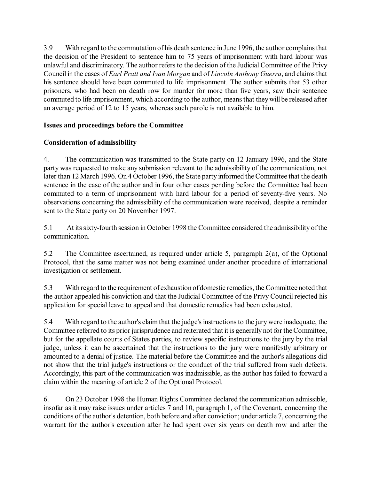3.9 With regard to the commutation of his death sentence in June 1996, the author complains that the decision of the President to sentence him to 75 years of imprisonment with hard labour was unlawful and discriminatory. The author refers to the decision of the Judicial Committee of the Privy Council in the cases of *Earl Pratt and Ivan Morgan* and of *Lincoln Anthony Guerra*, and claims that his sentence should have been commuted to life imprisonment. The author submits that 53 other prisoners, who had been on death row for murder for more than five years, saw their sentence commuted to life imprisonment, which according to the author, means that they will be released after an average period of 12 to 15 years, whereas such parole is not available to him.

# **Issues and proceedings before the Committee**

# **Consideration of admissibility**

4. The communication was transmitted to the State party on 12 January 1996, and the State party was requested to make any submission relevant to the admissibility of the communication, not later than 12 March 1996. On 4 October 1996, the State party informed the Committee that the death sentence in the case of the author and in four other cases pending before the Committee had been commuted to a term of imprisonment with hard labour for a period of seventy-five years. No observations concerning the admissibility of the communication were received, despite a reminder sent to the State party on 20 November 1997.

5.1 At its sixty-fourth session in October 1998 the Committee considered the admissibility of the communication.

5.2 The Committee ascertained, as required under article 5, paragraph 2(a), of the Optional Protocol, that the same matter was not being examined under another procedure of international investigation or settlement.

5.3 With regard to the requirement of exhaustion of domestic remedies, the Committee noted that the author appealed his conviction and that the Judicial Committee of the Privy Council rejected his application for special leave to appeal and that domestic remedies had been exhausted.

5.4 With regard to the author's claim that the judge's instructions to the jury were inadequate, the Committee referred to its prior jurisprudence and reiterated that it is generally not for the Committee, but for the appellate courts of States parties, to review specific instructions to the jury by the trial judge, unless it can be ascertained that the instructions to the jury were manifestly arbitrary or amounted to a denial of justice. The material before the Committee and the author's allegations did not show that the trial judge's instructions or the conduct of the trial suffered from such defects. Accordingly, this part of the communication was inadmissible, as the author has failed to forward a claim within the meaning of article 2 of the Optional Protocol.

6. On 23 October 1998 the Human Rights Committee declared the communication admissible, insofar as it may raise issues under articles 7 and 10, paragraph 1, of the Covenant, concerning the conditions of the author's detention, both before and after conviction; under article 7, concerning the warrant for the author's execution after he had spent over six years on death row and after the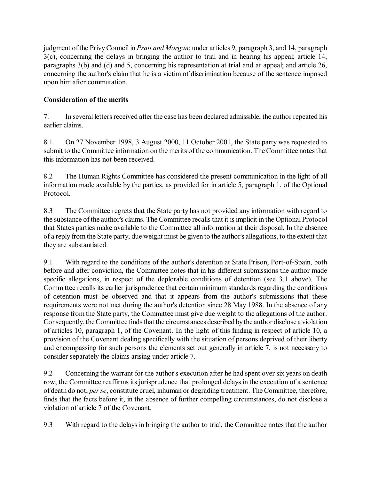judgment of the Privy Council in *Pratt and Morgan*; under articles 9, paragraph 3, and 14, paragraph 3(c), concerning the delays in bringing the author to trial and in hearing his appeal; article 14, paragraphs 3(b) and (d) and 5, concerning his representation at trial and at appeal; and article 26, concerning the author's claim that he is a victim of discrimination because of the sentence imposed upon him after commutation.

# **Consideration of the merits**

7. In several letters received after the case has been declared admissible, the author repeated his earlier claims.

8.1 On 27 November 1998, 3 August 2000, 11 October 2001, the State party was requested to submit to the Committee information on the merits of the communication. The Committee notes that this information has not been received.

8.2 The Human Rights Committee has considered the present communication in the light of all information made available by the parties, as provided for in article 5, paragraph 1, of the Optional Protocol.

8.3 The Committee regrets that the State party has not provided any information with regard to the substance of the author's claims. The Committee recalls that it is implicit in the Optional Protocol that States parties make available to the Committee all information at their disposal. In the absence of a reply from the State party, due weight must be given to the author's allegations, to the extent that they are substantiated.

9.1 With regard to the conditions of the author's detention at State Prison, Port-of-Spain, both before and after conviction, the Committee notes that in his different submissions the author made specific allegations, in respect of the deplorable conditions of detention (see 3.1 above). The Committee recalls its earlier jurisprudence that certain minimum standards regarding the conditions of detention must be observed and that it appears from the author's submissions that these requirements were not met during the author's detention since 28 May 1988. In the absence of any response from the State party, the Committee must give due weight to the allegations of the author. Consequently, the Committee finds that the circumstances described by the author disclose a violation of articles 10, paragraph 1, of the Covenant. In the light of this finding in respect of article 10, a provision of the Covenant dealing specifically with the situation of persons deprived of their liberty and encompassing for such persons the elements set out generally in article 7, is not necessary to consider separately the claims arising under article 7.

9.2 Concerning the warrant for the author's execution after he had spent over six years on death row, the Committee reaffirms its jurisprudence that prolonged delays in the execution of a sentence of death do not, *per se*, constitute cruel, inhuman or degrading treatment. The Committee, therefore, finds that the facts before it, in the absence of further compelling circumstances, do not disclose a violation of article 7 of the Covenant.

9.3 With regard to the delays in bringing the author to trial, the Committee notes that the author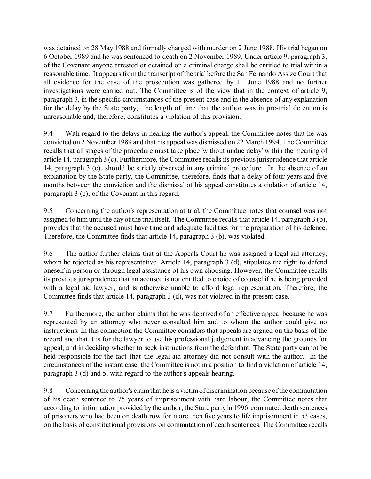was detained on 28 May 1988 and formally charged with murder on 2 June 1988. His trial began on 6 October 1989 and he was sentenced to death on 2 November 1989. Under article 9, paragraph 3, of the Covenant anyone arrested or detained on a criminal charge shall be entitled to trial within a reasonable time. It appears from the transcript of the trial before the San Fernando Assize Court that all evidence for the case of the prosecution was gathered by 1 June 1988 and no further investigations were carried out. The Committee is of the view that in the context of article 9, paragraph 3, in the specific circumstances of the present case and in the absence of any explanation for the delay by the State party, the length of time that the author was in pre-trial detention is unreasonable and, therefore, constitutes a violation of this provision.

9.4 With regard to the delays in hearing the author's appeal, the Committee notes that he was convicted on 2 November 1989 and that his appeal was dismissed on 22 March 1994. The Committee recalls that all stages of the procedure must take place 'without undue delay' within the meaning of article 14, paragraph 3 (c). Furthermore, the Committee recalls its previous jurisprudence that article 14, paragraph 3 (c), should be strictly observed in any criminal procedure. In the absence of an explanation by the State party, the Committee, therefore, finds that a delay of four years and five months between the conviction and the dismissal of his appeal constitutes a violation of article 14, paragraph 3 (c), of the Covenant in this regard.

9.5 Concerning the author's representation at trial, the Committee notes that counsel was not assigned to him until the day of the trial itself. The Committee recalls that article 14, paragraph 3 (b), provides that the accused must have time and adequate facilities for the preparation of his defence. Therefore, the Committee finds that article 14, paragraph 3 (b), was violated.

9.6 The author further claims that at the Appeals Court he was assigned a legal aid attorney, whom he rejected as his representative. Article 14, paragraph 3 (d), stipulates the right to defend oneself in person or through legal assistance of his own choosing. However, the Committee recalls its previous jurisprudence that an accused is not entitled to choice of counsel if he is being provided with a legal aid lawyer, and is otherwise unable to afford legal representation. Therefore, the Committee finds that article 14, paragraph 3 (d), was not violated in the present case.

9.7 Furthermore, the author claims that he was deprived of an effective appeal because he was represented by an attorney who never consulted him and to whom the author could give no instructions. In this connection the Committee considers that appeals are argued on the basis of the record and that it is for the lawyer to use his professional judgement in advancing the grounds for appeal, and in deciding whether to seek instructions from the defendant. The State party cannot be held responsible for the fact that the legal aid attorney did not consult with the author. In the circumstances of the instant case, the Committee is not in a position to find a violation of article 14, paragraph 3 (d) and 5, with regard to the author's appeals hearing.

9.8 Concerning the author's claim that he is a victim of discrimination because of the commutation of his death sentence to 75 years of imprisonment with hard labour, the Committee notes that according to information provided by the author, the State party in 1996 commuted death sentences of prisoners who had been on death row for more then five years to life imprisonment in 53 cases, on the basis of constitutional provisions on commutation of death sentences. The Committee recalls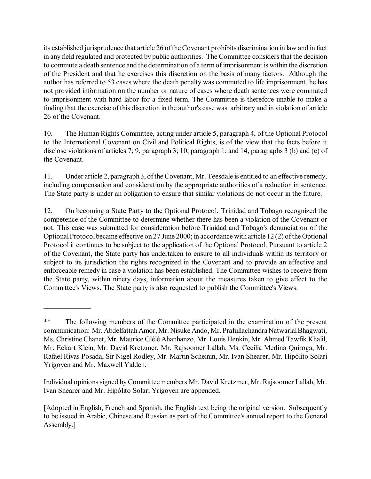its established jurisprudence that article 26 of the Covenant prohibits discrimination in law and in fact in any field regulated and protected by public authorities. The Committee considers that the decision to commute a death sentence and the determination of a term of imprisonment is within the discretion of the President and that he exercises this discretion on the basis of many factors. Although the author has referred to 53 cases where the death penalty was commuted to life imprisonment, he has not provided information on the number or nature of cases where death sentences were commuted to imprisonment with hard labor for a fixed term. The Committee is therefore unable to make a finding that the exercise of this discretion in the author's case was arbitrary and in violation of article 26 of the Covenant.

10. The Human Rights Committee, acting under article 5, paragraph 4, of the Optional Protocol to the International Covenant on Civil and Political Rights, is of the view that the facts before it disclose violations of articles 7; 9, paragraph 3; 10, paragraph 1; and 14, paragraphs 3 (b) and (c) of the Covenant.

11. Under article 2, paragraph 3, of the Covenant, Mr. Teesdale is entitled to an effective remedy, including compensation and consideration by the appropriate authorities of a reduction in sentence. The State party is under an obligation to ensure that similar violations do not occur in the future.

12. On becoming a State Party to the Optional Protocol, Trinidad and Tobago recognized the competence of the Committee to determine whether there has been a violation of the Covenant or not. This case was submitted for consideration before Trinidad and Tobago's denunciation of the Optional Protocol became effective on 27 June 2000; in accordance with article 12 (2) of the Optional Protocol it continues to be subject to the application of the Optional Protocol. Pursuant to article 2 of the Covenant, the State party has undertaken to ensure to all individuals within its territory or subject to its jurisdiction the rights recognized in the Covenant and to provide an effective and enforceable remedy in case a violation has been established. The Committee wishes to receive from the State party, within ninety days, information about the measures taken to give effect to the Committee's Views. The State party is also requested to publish the Committee's Views.

 $\mathcal{L}_\text{max}$ 

<sup>\*\*</sup> The following members of the Committee participated in the examination of the present communication: Mr. Abdelfattah Amor, Mr. Nisuke Ando, Mr. Prafullachandra Natwarlal Bhagwati, Ms. Christine Chanet, Mr. Maurice Glèlè Ahanhanzo, Mr. Louis Henkin, Mr. Ahmed Tawfik Khalil, Mr. Eckart Klein, Mr. David Kretzmer, Mr. Rajsoomer Lallah, Ms. Cecilia Medina Quiroga, Mr. Rafael Rivas Posada, Sir Nigel Rodley, Mr. Martin Scheinin, Mr. Ivan Shearer, Mr. Hipólito Solari Yrigoyen and Mr. Maxwell Yalden.

Individual opinions signed by Committee members Mr. David Kretzmer, Mr. Rajsoomer Lallah, Mr. Ivan Shearer and Mr. Hipólito Solari Yrigoyen are appended.

<sup>[</sup>Adopted in English, French and Spanish, the English text being the original version. Subsequently to be issued in Arabic, Chinese and Russian as part of the Committee's annual report to the General Assembly.]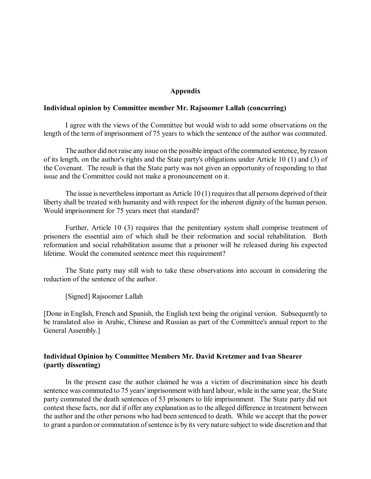#### **Appendix**

#### **Individual opinion by Committee member Mr. Rajsoomer Lallah (concurring)**

I agree with the views of the Committee but would wish to add some observations on the length of the term of imprisonment of 75 years to which the sentence of the author was commuted.

The author did not raise any issue on the possible impact of the commuted sentence, by reason of its length, on the author's rights and the State party's obligations under Article 10 (1) and (3) of the Covenant. The result is that the State party was not given an opportunity of responding to that issue and the Committee could not make a pronouncement on it.

The issue is nevertheless important as Article 10 (1) requires that all persons deprived of their liberty shall be treated with humanity and with respect for the inherent dignity of the human person. Would imprisonment for 75 years meet that standard?

Further, Article 10 (3) requires that the penitentiary system shall comprise treatment of prisoners the essential aim of which shall be their reformation and social rehabilitation. Both reformation and social rehabilitation assume that a prisoner will be released during his expected lifetime. Would the commuted sentence meet this requirement?

The State party may still wish to take these observations into account in considering the reduction of the sentence of the author.

[Signed] Rajsoomer Lallah

[Done in English, French and Spanish, the English text being the original version. Subsequently to be translated also in Arabic, Chinese and Russian as part of the Committee's annual report to the General Assembly.]

### **Individual Opinion by Committee Members Mr. David Kretzmer and Ivan Shearer (partly dissenting)**

In the present case the author claimed he was a victim of discrimination since his death sentence was commuted to 75 years' imprisonment with hard labour, while in the same year, the State party commuted the death sentences of 53 prisoners to life imprisonment. The State party did not contest these facts, nor did if offer any explanation as to the alleged difference in treatment between the author and the other persons who had been sentenced to death. While we accept that the power to grant a pardon or commutation of sentence is by its very nature subject to wide discretion and that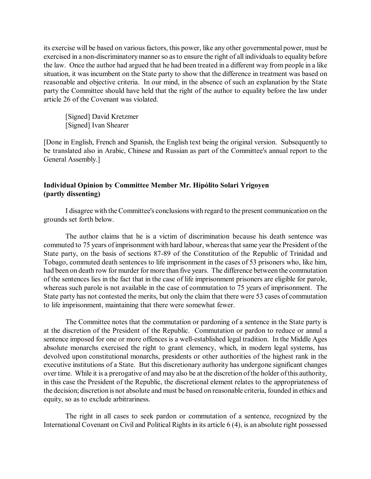its exercise will be based on various factors, this power, like any other governmental power, must be exercised in a non-discriminatory manner so as to ensure the right of all individuals to equality before the law. Once the author had argued that he had been treated in a different way from people in a like situation, it was incumbent on the State party to show that the difference in treatment was based on reasonable and objective criteria. In our mind, in the absence of such an explanation by the State party the Committee should have held that the right of the author to equality before the law under article 26 of the Covenant was violated.

[Signed] David Kretzmer [Signed] Ivan Shearer

[Done in English, French and Spanish, the English text being the original version. Subsequently to be translated also in Arabic, Chinese and Russian as part of the Committee's annual report to the General Assembly.]

# **Individual Opinion by Committee Member Mr. Hipólito Solari Yrigoyen (partly dissenting)**

I disagree with the Committee's conclusions with regard to the present communication on the grounds set forth below.

The author claims that he is a victim of discrimination because his death sentence was commuted to 75 years of imprisonment with hard labour, whereas that same year the President of the State party, on the basis of sections 87-89 of the Constitution of the Republic of Trinidad and Tobago, commuted death sentences to life imprisonment in the cases of 53 prisoners who, like him, had been on death row for murder for more than five years. The difference between the commutation of the sentences lies in the fact that in the case of life imprisonment prisoners are eligible for parole, whereas such parole is not available in the case of commutation to 75 years of imprisonment. The State party has not contested the merits, but only the claim that there were 53 cases of commutation to life imprisonment, maintaining that there were somewhat fewer.

The Committee notes that the commutation or pardoning of a sentence in the State party is at the discretion of the President of the Republic. Commutation or pardon to reduce or annul a sentence imposed for one or more offences is a well-established legal tradition. In the Middle Ages absolute monarchs exercised the right to grant clemency, which, in modern legal systems, has devolved upon constitutional monarchs, presidents or other authorities of the highest rank in the executive institutions of a State. But this discretionary authority has undergone significant changes over time. While it is a prerogative of and may also be at the discretion of the holder of this authority, in this case the President of the Republic, the discretional element relates to the appropriateness of the decision; discretion is not absolute and must be based on reasonable criteria, founded in ethics and equity, so as to exclude arbitrariness.

The right in all cases to seek pardon or commutation of a sentence, recognized by the International Covenant on Civil and Political Rights in its article 6 (4), is an absolute right possessed